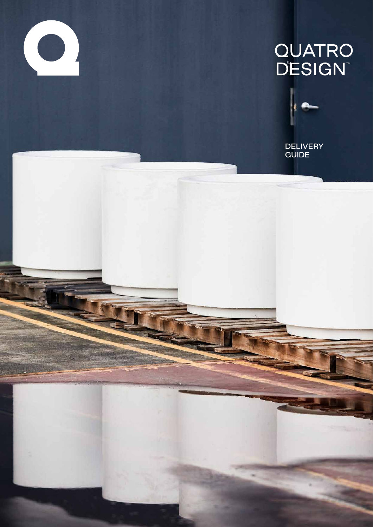

# **QUATRO<br>DESIGN™**



**DELIVERY GUIDE**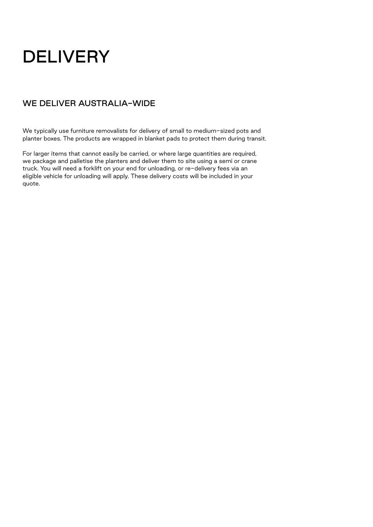## **DELIVERY**

#### WE DELIVER AUSTRALIA-WIDE

We typically use furniture removalists for delivery of small to medium-sized pots and planter boxes. The products are wrapped in blanket pads to protect them during transit.

For larger items that cannot easily be carried, or where large quantities are required, we package and palletise the planters and deliver them to site using a semi or crane truck. You will need a forklift on your end for unloading, or re-delivery fees via an eligible vehicle for unloading will apply. These delivery costs will be included in your quote.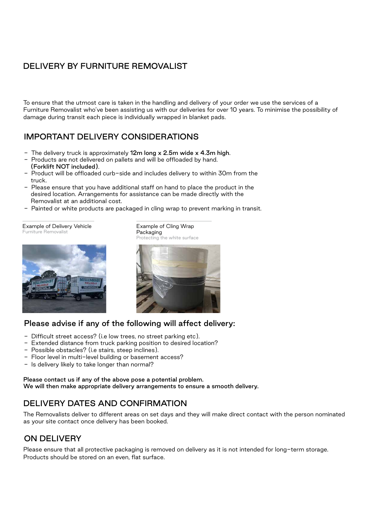#### DELIVERY BY FURNITURE REMOVALIST

To ensure that the utmost care is taken in the handling and delivery of your order we use the services of a Furniture Removalist who've been assisting us with our deliveries for over 10 years. To minimise the possibility of damage during transit each piece is individually wrapped in blanket pads.

#### IMPORTANT DELIVERY CONSIDERATIONS

- The delivery truck is approximately  $12m$  long x 2.5m wide x 4.3m high.
- Products are not delivered on pallets and will be offloaded by hand. (Forklift NOT included).
- Product will be offloaded curb-side and includes delivery to within 30m from the truck.
- Please ensure that you have additional staff on hand to place the product in the desired location. Arrangements for assistance can be made directly with the Removalist at an additional cost.
- Painted or white products are packaged in cling wrap to prevent marking in transit.

Packaging

Example of Delivery Vehicle Furniture Removalist





Example of Cling Wrap

#### Please advise if any of the following will affect delivery:

- Difficult street access? (i.e low trees, no street parking etc).
- Extended distance from truck parking position to desired location?
- Possible obstacles? (i.e stairs, steep inclines).
- Floor level in multi-level building or basement access?
- Is delivery likely to take longer than normal?

Please contact us if any of the above pose a potential problem. We will then make appropriate delivery arrangements to ensure a smooth delivery.

#### DELIVERY DATES AND CONFIRMATION

The Removalists deliver to different areas on set days and they will make direct contact with the person nominated as your site contact once delivery has been booked.

#### ON DELIVERY

Please ensure that all protective packaging is removed on delivery as it is not intended for long-term storage. Products should be stored on an even, flat surface.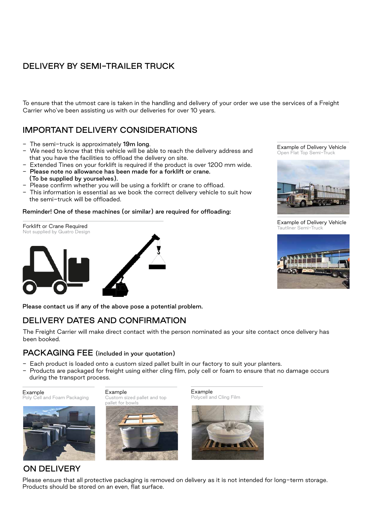### DELIVERY BY SEMI-TRAILER TRUCK

To ensure that the utmost care is taken in the handling and delivery of your order we use the services of a Freight Carrier who've been assisting us with our deliveries for over 10 years.

#### IMPORTANT DELIVERY CONSIDERATIONS

- The semi-truck is approximately 19m long.
- We need to know that this vehicle will be able to reach the delivery address and that you have the facilities to offload the delivery on site.
- Extended Tines on your forklift is required if the product is over 1200 mm wide. - Please note no allowance has been made for a forklift or crane.
- (To be supplied by yourselves).
- Please confirm whether you will be using a forklift or crane to offload.
- This information is essential as we book the correct delivery vehicle to suit how the semi-truck will be offloaded.

#### Reminder! One of these machines (or similar) are required for offloading:

Forklift or Crane Required Not supplied by Quatro Design Example of Delivery Vehicle Open Flat Top Semi-Truck



Example of Delivery Vehicle Tautliner Semi-Truck



Please contact us if any of the above pose a potential problem.

#### DELIVERY DATES AND CONFIRMATION

The Freight Carrier will make direct contact with the person nominated as your site contact once delivery has been booked.

#### PACKAGING FEE (included in your quotation)

- Each product is loaded onto a custom sized pallet built in our factory to suit your planters.
- Products are packaged for freight using either cling film, poly cell or foam to ensure that no damage occurs during the transport process.

Example Poly Cell and Foam Packaging



Example Custom sized pallet and top pallet for bowls



Example Polycell and Cling Film



#### ON DELIVERY

Please ensure that all protective packaging is removed on delivery as it is not intended for long-term storage. Products should be stored on an even, flat surface.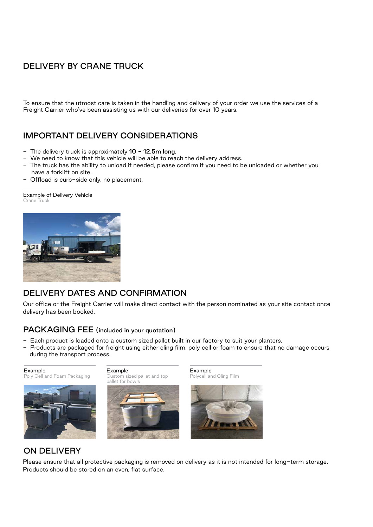### DELIVERY BY CRANE TRUCK

To ensure that the utmost care is taken in the handling and delivery of your order we use the services of a Freight Carrier who've been assisting us with our deliveries for over 10 years.

#### IMPORTANT DELIVERY CONSIDERATIONS

- The delivery truck is approximately  $10 12.5$ m long.
- We need to know that this vehicle will be able to reach the delivery address.
- The truck has the ability to unload if needed, please confirm if you need to be unloaded or whether you have a forklift on site.
- Offload is curb-side only, no placement.

Example of Delivery Vehicle Crane Truck



#### DELIVERY DATES AND CONFIRMATION

Our office or the Freight Carrier will make direct contact with the person nominated as your site contact once delivery has been booked.

#### PACKAGING FEE (included in your quotation)

- Each product is loaded onto a custom sized pallet built in our factory to suit your planters.
- Products are packaged for freight using either cling film, poly cell or foam to ensure that no damage occurs during the transport process.



Poly Cell and Foam Packaging

Example





Example Polycell and Cling Film



#### ON DELIVERY

Please ensure that all protective packaging is removed on delivery as it is not intended for long-term storage. Products should be stored on an even, flat surface.